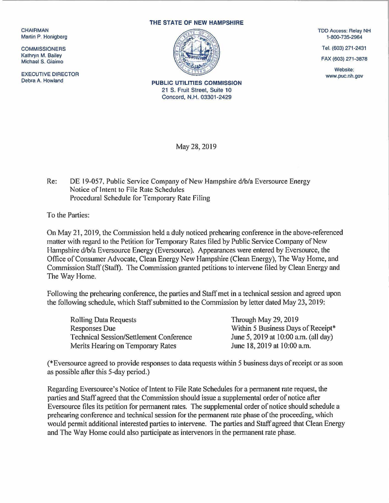**CHAIRMAN** Martin P. Honigberg

**COMMISSIONERS** Kathryn M. Bailey Michael S. Giaimo

EXECUTIVE DIRECTOR Debra A. Howland

## THE STATE OF NEW HAMPSHIRE



PUBLIC UTILITIES COMMISSION 21 S. Fruit Street, Suite 10 Concord, N.H. 03301-2429

TDD Access: Relay NH 1-800-735-2964

Tel. (603) 271-2431

FAX (603) 271-3878

Website: www.puc.nh.gov

May 28, 2019

Re: DE 19-057, Public Service Company of New Hampshire d/b/a Eversource Energy Notice of Intent to File Rate Schedules Procedural Schedule for Temporary Rate Filing

To the Parties:

On May 21, 2019, the Commission held a duly noticed prehearing conference in the above-referenced matter with regard to the Petition for Temporary Rates filed by Public Service Company of New Hampshire d/b/a Eversource Energy (Eversource). Appearances were entered by Eversource, the Office of Consumer Advocate, Clean Energy New Hampshire (Clean Energy), The Way Home, and Commission Staff (Staff). The Commission granted petitions to intervene filed by Clean Energy and The Way Home.

Following the prehearing conference, the parties and Staff met in a technical session and agreed upon the following schedule, which Staff submitted to the Commission by letter dated May 23, 2019:

Rolling Data Requests Responses Due Technical Session/Settlement Conference Merits Hearing on Temporary Rates

Through May 29, 2019 Within 5 Business Days of Receipt\* June 5, 2019 at 10:00 a.m. (all day) June 18, 2019 at 10:00 a.m.

(\*Eversource agreed to provide responses to data requests within 5 business days of receipt or as soon as possible after this 5-day period.)

Regarding Eversource's Notice of Intent to File Rate Schedules for a permanent rate request, the parties and Staff agreed that the Commission should issue a supplemental order of notice after Eversource files its petition for permanent rates. The supplemental order of notice should schedule a prehearing conference and technical session for the permanent rate phase of the proceeding, which would permit additional interested parties to intervene. The parties and Staff agreed that Clean Energy and The Way Home could also participate as intervenors in the permanent rate phase.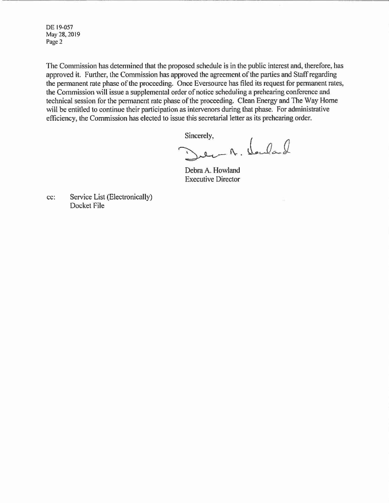DE 19-057 May28,2019 Page 2

The Commission has determined that the proposed schedule is in the public interest and, therefore, has approved it. Further, the Commission has approved the agreement of the parties and Staff regarding the permanent rate phase of the proceeding. Once Eversource has filed its request for permanent rates, the Commission will issue a supplemental order of notice scheduling a prehearing conference and technical session for the permanent rate phase of the proceeding. Clean Energy and The Way Home will be entitled to continue their participation as intervenors during that phase. For administrative efficiency, the Commission has elected to issue this secretarial letter as its prehearing order.

Sincerely,

Der A. Souland

Debra A. Howland Executive Director

cc: Service List (Electronically) Docket File